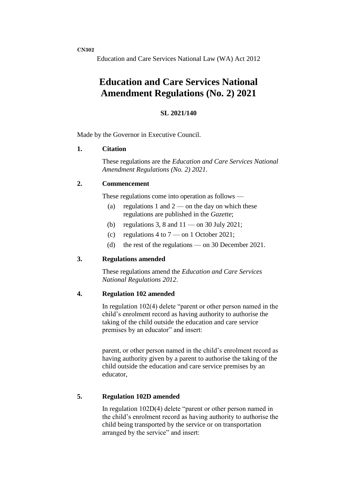**CN302**

Education and Care Services National Law (WA) Act 2012

# **Education and Care Services National Amendment Regulations (No. 2) 2021**

### **SL 2021/140**

Made by the Governor in Executive Council.

### **1. Citation**

These regulations are the *Education and Care Services National Amendment Regulations (No. 2) 2021*.

#### **2. Commencement**

These regulations come into operation as follows —

- (a) regulations 1 and  $2$  on the day on which these regulations are published in the *Gazette*;
- (b) regulations 3, 8 and  $11$  on 30 July 2021;
- (c) regulations 4 to  $7$  on 1 October 2021;
- (d) the rest of the regulations on 30 December 2021.

### **3. Regulations amended**

These regulations amend the *Education and Care Services National Regulations 2012*.

## **4. Regulation 102 amended**

In regulation 102(4) delete "parent or other person named in the child's enrolment record as having authority to authorise the taking of the child outside the education and care service premises by an educator" and insert:

parent, or other person named in the child's enrolment record as having authority given by a parent to authorise the taking of the child outside the education and care service premises by an educator,

### **5. Regulation 102D amended**

In regulation 102D(4) delete "parent or other person named in the child's enrolment record as having authority to authorise the child being transported by the service or on transportation arranged by the service" and insert: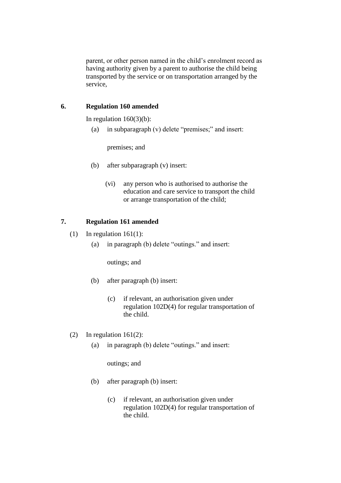parent, or other person named in the child's enrolment record as having authority given by a parent to authorise the child being transported by the service or on transportation arranged by the service,

## **6. Regulation 160 amended**

In regulation  $160(3)(b)$ :

(a) in subparagraph (v) delete "premises;" and insert:

premises; and

- (b) after subparagraph (v) insert:
	- (vi) any person who is authorised to authorise the education and care service to transport the child or arrange transportation of the child;

## **7. Regulation 161 amended**

- (1) In regulation  $161(1)$ :
	- (a) in paragraph (b) delete "outings." and insert:

outings; and

- (b) after paragraph (b) insert:
	- (c) if relevant, an authorisation given under regulation 102D(4) for regular transportation of the child.
- (2) In regulation 161(2):
	- (a) in paragraph (b) delete "outings." and insert:

outings; and

- (b) after paragraph (b) insert:
	- (c) if relevant, an authorisation given under regulation 102D(4) for regular transportation of the child.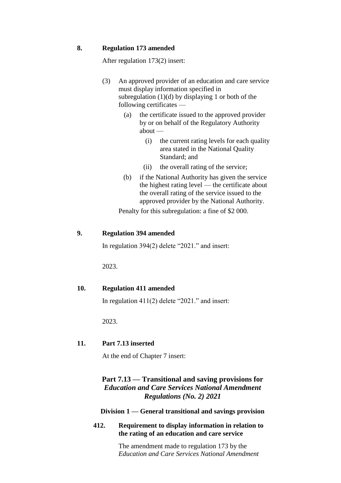#### **8. Regulation 173 amended**

After regulation 173(2) insert:

- (3) An approved provider of an education and care service must display information specified in subregulation  $(1)(d)$  by displaying 1 or both of the following certificates —
	- (a) the certificate issued to the approved provider by or on behalf of the Regulatory Authority about —
		- (i) the current rating levels for each quality area stated in the National Quality Standard; and
		- (ii) the overall rating of the service;
	- (b) if the National Authority has given the service the highest rating level — the certificate about the overall rating of the service issued to the approved provider by the National Authority.

Penalty for this subregulation: a fine of \$2 000.

#### **9. Regulation 394 amended**

In regulation 394(2) delete "2021." and insert:

2023.

#### **10. Regulation 411 amended**

In regulation 411(2) delete "2021." and insert:

2023.

## **11. Part 7.13 inserted**

At the end of Chapter 7 insert:

# **Part 7.13 — Transitional and saving provisions for**  *Education and Care Services National Amendment Regulations (No. 2) 2021*

#### **Division 1 — General transitional and savings provision**

**412. Requirement to display information in relation to the rating of an education and care service**

> The amendment made to regulation 173 by the *Education and Care Services National Amendment*